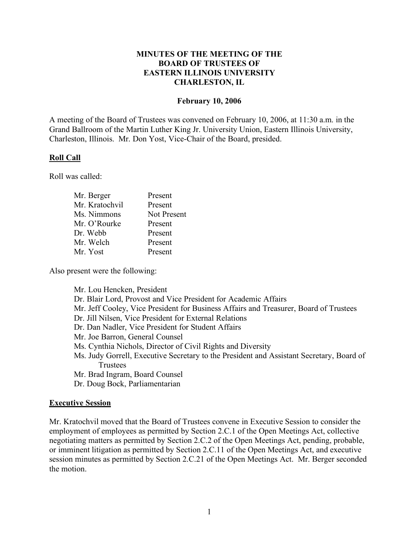## **MINUTES OF THE MEETING OF THE BOARD OF TRUSTEES OF EASTERN ILLINOIS UNIVERSITY CHARLESTON, IL**

#### **February 10, 2006**

A meeting of the Board of Trustees was convened on February 10, 2006, at 11:30 a.m. in the Grand Ballroom of the Martin Luther King Jr. University Union, Eastern Illinois University, Charleston, Illinois. Mr. Don Yost, Vice-Chair of the Board, presided.

### **Roll Call**

Roll was called:

| Mr. Berger     | Present     |
|----------------|-------------|
| Mr. Kratochvil | Present     |
| Ms. Nimmons    | Not Present |
| Mr. O'Rourke   | Present     |
| Dr. Webb       | Present     |
| Mr. Welch      | Present     |
| Mr. Yost       | Present     |
|                |             |

Also present were the following:

Mr. Lou Hencken, President Dr. Blair Lord, Provost and Vice President for Academic Affairs Mr. Jeff Cooley, Vice President for Business Affairs and Treasurer, Board of Trustees Dr. Jill Nilsen, Vice President for External Relations Dr. Dan Nadler, Vice President for Student Affairs Mr. Joe Barron, General Counsel Ms. Cynthia Nichols, Director of Civil Rights and Diversity Ms. Judy Gorrell, Executive Secretary to the President and Assistant Secretary, Board of **Trustees** Mr. Brad Ingram, Board Counsel Dr. Doug Bock, Parliamentarian

### **Executive Session**

Mr. Kratochvil moved that the Board of Trustees convene in Executive Session to consider the employment of employees as permitted by Section 2.C.1 of the Open Meetings Act, collective negotiating matters as permitted by Section 2.C.2 of the Open Meetings Act, pending, probable, or imminent litigation as permitted by Section 2.C.11 of the Open Meetings Act, and executive session minutes as permitted by Section 2.C.21 of the Open Meetings Act. Mr. Berger seconded the motion.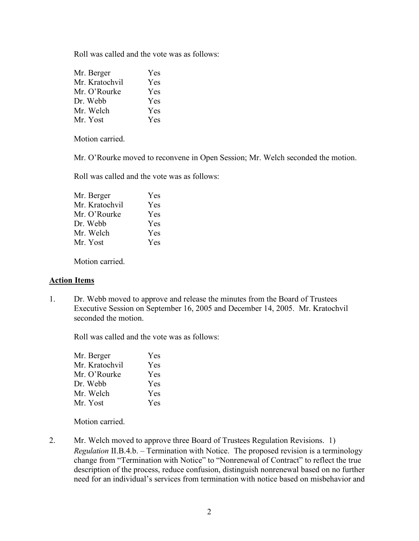Roll was called and the vote was as follows:

| Mr. Berger     | Yes |
|----------------|-----|
| Mr. Kratochvil | Yes |
| Mr. O'Rourke   | Yes |
| Dr. Webb       | Yes |
| Mr. Welch      | Yes |
| Mr. Yost       | Yes |

Motion carried.

Mr. O'Rourke moved to reconvene in Open Session; Mr. Welch seconded the motion.

Roll was called and the vote was as follows:

| Yes |
|-----|
| Yes |
| Yes |
| Yes |
| Yes |
| Yes |
|     |

Motion carried.

### **Action Items**

1. Dr. Webb moved to approve and release the minutes from the Board of Trustees Executive Session on September 16, 2005 and December 14, 2005. Mr. Kratochvil seconded the motion.

Roll was called and the vote was as follows:

| Mr. Berger     | Yes |
|----------------|-----|
| Mr. Kratochvil | Yes |
| Mr. O'Rourke   | Yes |
| Dr. Webb       | Yes |
| Mr. Welch      | Yes |
| Mr. Yost       | Yes |

Motion carried.

2. Mr. Welch moved to approve three Board of Trustees Regulation Revisions. 1) *Regulation* II.B.4.b. – Termination with Notice. The proposed revision is a terminology change from "Termination with Notice" to "Nonrenewal of Contract" to reflect the true description of the process, reduce confusion, distinguish nonrenewal based on no further need for an individual's services from termination with notice based on misbehavior and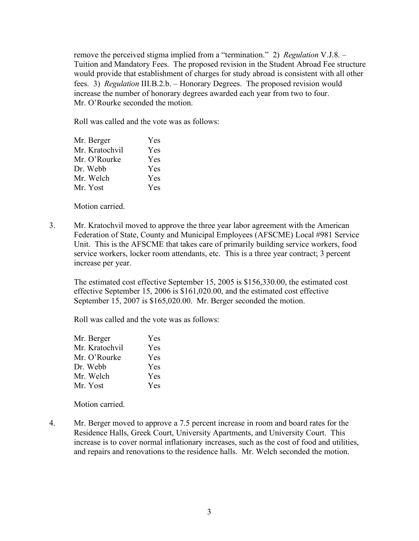remove the perceived stigma implied from a "termination." 2) *Regulation* V.J.8. – Tuition and Mandatory Fees. The proposed revision in the Student Abroad Fee structure would provide that establishment of charges for study abroad is consistent with all other fees. 3) *Regulation* III.B.2.b. – Honorary Degrees. The proposed revision would increase the number of honorary degrees awarded each year from two to four. Mr. O'Rourke seconded the motion.

Roll was called and the vote was as follows:

| Yes |
|-----|
| Yes |
| Yes |
| Yes |
| Yes |
| Yes |
|     |

Motion carried.

3. Mr. Kratochvil moved to approve the three year labor agreement with the American Federation of State, County and Municipal Employees (AFSCME) Local #981 Service Unit. This is the AFSCME that takes care of primarily building service workers, food service workers, locker room attendants, etc. This is a three year contract; 3 percent increase per year.

The estimated cost effective September 15, 2005 is \$156,330.00, the estimated cost effective September 15, 2006 is \$161,020.00, and the estimated cost effective September 15, 2007 is \$165,020.00. Mr. Berger seconded the motion.

Roll was called and the vote was as follows:

| Mr. Berger     | Yes |
|----------------|-----|
| Mr. Kratochvil | Yes |
| Mr. O'Rourke   | Yes |
| Dr. Webb       | Yes |
| Mr. Welch      | Yes |
| Mr. Yost       | Yes |

Motion carried.

4. Mr. Berger moved to approve a 7.5 percent increase in room and board rates for the Residence Halls, Greek Court, University Apartments, and University Court. This increase is to cover normal inflationary increases, such as the cost of food and utilities, and repairs and renovations to the residence halls. Mr. Welch seconded the motion.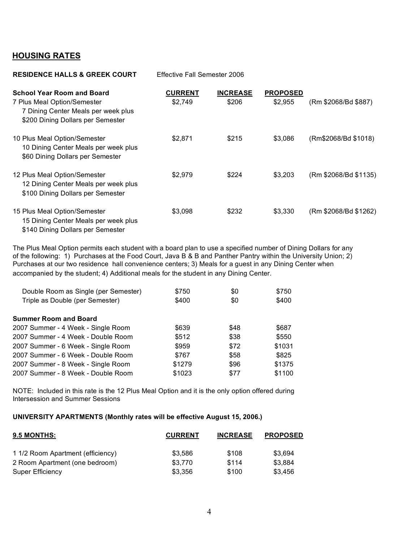# **HOUSING RATES**

| <b>RESIDENCE HALLS &amp; GREEK COURT</b>                                                                                                     | Effective Fall Semester 2006 |                          |                            |                       |
|----------------------------------------------------------------------------------------------------------------------------------------------|------------------------------|--------------------------|----------------------------|-----------------------|
| <b>School Year Room and Board</b><br>7 Plus Meal Option/Semester<br>7 Dining Center Meals per week plus<br>\$200 Dining Dollars per Semester | <b>CURRENT</b><br>\$2,749    | <b>INCREASE</b><br>\$206 | <b>PROPOSED</b><br>\$2,955 | (Rm \$2068/Bd \$887)  |
| 10 Plus Meal Option/Semester<br>10 Dining Center Meals per week plus<br>\$60 Dining Dollars per Semester                                     | \$2,871                      | \$215                    | \$3,086                    | (Rm\$2068/Bd \$1018)  |
| 12 Plus Meal Option/Semester<br>12 Dining Center Meals per week plus<br>\$100 Dining Dollars per Semester                                    | \$2,979                      | \$224                    | \$3,203                    | (Rm \$2068/Bd \$1135) |
| 15 Plus Meal Option/Semester<br>15 Dining Center Meals per week plus<br>\$140 Dining Dollars per Semester                                    | \$3,098                      | \$232                    | \$3,330                    | (Rm \$2068/Bd \$1262) |

The Plus Meal Option permits each student with a board plan to use a specified number of Dining Dollars for any of the following: 1) Purchases at the Food Court, Java B & B and Panther Pantry within the University Union; 2) Purchases at our two residence hall convenience centers; 3) Meals for a guest in any Dining Center when accompanied by the student; 4) Additional meals for the student in any Dining Center.

| Double Room as Single (per Semester) | \$750  | \$0  | \$750  |
|--------------------------------------|--------|------|--------|
| Triple as Double (per Semester)      | \$400  | \$0  | \$400  |
| <b>Summer Room and Board</b>         |        |      |        |
| 2007 Summer - 4 Week - Single Room   | \$639  | \$48 | \$687  |
| 2007 Summer - 4 Week - Double Room   | \$512  | \$38 | \$550  |
| 2007 Summer - 6 Week - Single Room   | \$959  | \$72 | \$1031 |
| 2007 Summer - 6 Week - Double Room   | \$767  | \$58 | \$825  |
| 2007 Summer - 8 Week - Single Room   | \$1279 | \$96 | \$1375 |
| 2007 Summer - 8 Week - Double Room   | \$1023 | \$77 | \$1100 |

NOTE: Included in this rate is the 12 Plus Meal Option and it is the only option offered during Intersession and Summer Sessions

#### **UNIVERSITY APARTMENTS (Monthly rates will be effective August 15, 2006.)**

| 9.5 MONTHS:                       | <b>CURRENT</b> | <b>INCREASE</b> | <b>PROPOSED</b> |
|-----------------------------------|----------------|-----------------|-----------------|
| 1 1/2 Room Apartment (efficiency) | \$3.586        | \$108           | \$3.694         |
| 2 Room Apartment (one bedroom)    | \$3.770        | \$114           | \$3.884         |
| <b>Super Efficiency</b>           | \$3.356        | \$100           | \$3.456         |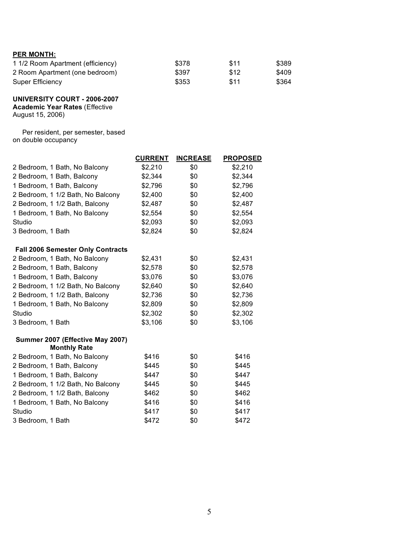# **PER MONTH:**

| 1 1/2 Room Apartment (efficiency) | \$378 | \$11 | \$389 |
|-----------------------------------|-------|------|-------|
| 2 Room Apartment (one bedroom)    | \$397 | \$12 | \$409 |
| Super Efficiency                  | \$353 | \$11 | \$364 |

**UNIVERSITY COURT - 2006-2007**

**Academic Year Rates** (Effective

August 15, 2006)

Per resident, per semester, based on double occupancy

|                                          | <b>CURRENT</b> | <b>INCREASE</b> | <b>PROPOSED</b> |
|------------------------------------------|----------------|-----------------|-----------------|
| 2 Bedroom, 1 Bath, No Balcony            | \$2,210        | \$0             | \$2,210         |
| 2 Bedroom, 1 Bath, Balcony               | \$2,344        | \$0             | \$2,344         |
| 1 Bedroom, 1 Bath, Balcony               | \$2,796        | \$0             | \$2,796         |
| 2 Bedroom, 1 1/2 Bath, No Balcony        | \$2,400        | \$0             | \$2,400         |
| 2 Bedroom, 1 1/2 Bath, Balcony           | \$2,487        | \$0             | \$2,487         |
| 1 Bedroom, 1 Bath, No Balcony            | \$2,554        | \$0             | \$2,554         |
| Studio                                   | \$2,093        | \$0             | \$2,093         |
| 3 Bedroom, 1 Bath                        | \$2,824        | \$0             | \$2,824         |
| <b>Fall 2006 Semester Only Contracts</b> |                |                 |                 |
| 2 Bedroom, 1 Bath, No Balcony            | \$2,431        | \$0             | \$2,431         |
| 2 Bedroom, 1 Bath, Balcony               | \$2,578        | \$0             | \$2,578         |
| 1 Bedroom, 1 Bath, Balcony               | \$3,076        | \$0             | \$3,076         |
| 2 Bedroom, 1 1/2 Bath, No Balcony        | \$2,640        | \$0             | \$2,640         |
| 2 Bedroom, 1 1/2 Bath, Balcony           | \$2,736        | \$0             | \$2,736         |
| 1 Bedroom, 1 Bath, No Balcony            | \$2,809        | \$0             | \$2,809         |
| Studio                                   | \$2,302        | \$0             | \$2,302         |
| 3 Bedroom, 1 Bath                        | \$3,106        | \$0             | \$3,106         |
| Summer 2007 (Effective May 2007)         |                |                 |                 |
| <b>Monthly Rate</b>                      |                |                 |                 |
| 2 Bedroom, 1 Bath, No Balcony            | \$416          | \$0             | \$416           |
| 2 Bedroom, 1 Bath, Balcony               | \$445          | \$0             | \$445           |
| 1 Bedroom, 1 Bath, Balcony               | \$447          | \$0             | \$447           |
| 2 Bedroom, 1 1/2 Bath, No Balcony        | \$445          | \$0             | \$445           |
| 2 Bedroom, 1 1/2 Bath, Balcony           | \$462          | \$0             | \$462           |
| 1 Bedroom, 1 Bath, No Balcony            | \$416          | \$0             | \$416           |
| Studio                                   | \$417          | \$0             | \$417           |
| 3 Bedroom, 1 Bath                        | \$472          | \$0             | \$472           |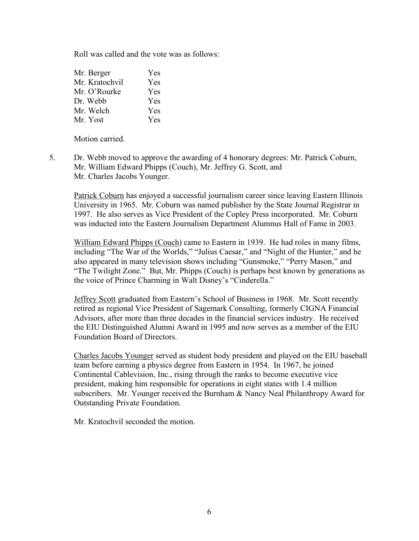Roll was called and the vote was as follows:

| Mr. Berger     | Yes |
|----------------|-----|
| Mr. Kratochvil | Yes |
| Mr. O'Rourke   | Yes |
| Dr. Webb       | Yes |
| Mr. Welch      | Yes |
| Mr. Yost       | Yes |

Motion carried.

5. Dr. Webb moved to approve the awarding of 4 honorary degrees: Mr. Patrick Coburn, Mr. William Edward Phipps (Couch), Mr. Jeffrey G. Scott, and Mr. Charles Jacobs Younger.

Patrick Coburn has enjoyed a successful journalism career since leaving Eastern Illinois University in 1965. Mr. Coburn was named publisher by the State Journal Registrar in 1997. He also serves as Vice President of the Copley Press incorporated. Mr. Coburn was inducted into the Eastern Journalism Department Alumnus Hall of Fame in 2003.

William Edward Phipps (Couch) came to Eastern in 1939. He had roles in many films, including "The War of the Worlds," "Julius Caesar," and "Night of the Hunter," and he also appeared in many television shows including "Gunsmoke," "Perry Mason," and "The Twilight Zone." But, Mr. Phipps (Couch) is perhaps best known by generations as the voice of Prince Charming in Walt Disney's "Cinderella."

Jeffrey Scott graduated from Eastern's School of Business in 1968. Mr. Scott recently retired as regional Vice President of Sagemark Consulting, formerly CIGNA Financial Advisors, after more than three decades in the financial services industry. He received the EIU Distinguished Alumni Award in 1995 and now serves as a member of the EIU Foundation Board of Directors.

Charles Jacobs Younger served as student body president and played on the EIU baseball team before earning a physics degree from Eastern in 1954. In 1967, he joined Continental Cablevision, Inc., rising through the ranks to become executive vice president, making him responsible for operations in eight states with 1.4 million subscribers. Mr. Younger received the Burnham & Nancy Neal Philanthropy Award for Outstanding Private Foundation.

Mr. Kratochvil seconded the motion.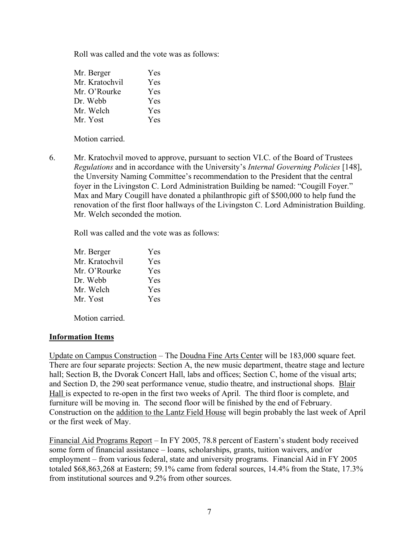Roll was called and the vote was as follows:

| Mr. Berger     | Yes |
|----------------|-----|
| Mr. Kratochvil | Yes |
| Mr. O'Rourke   | Yes |
| Dr. Webb       | Yes |
| Mr. Welch      | Yes |
| Mr. Yost       | Yes |

Motion carried.

6. Mr. Kratochvil moved to approve, pursuant to section VI.C. of the Board of Trustees *Regulations* and in accordance with the University's *Internal Governing Policies* [148], the Unversity Naming Committee's recommendation to the President that the central foyer in the Livingston C. Lord Administration Building be named: "Cougill Foyer." Max and Mary Cougill have donated a philanthropic gift of \$500,000 to help fund the renovation of the first floor hallways of the Livingston C. Lord Administration Building. Mr. Welch seconded the motion.

Roll was called and the vote was as follows:

| Mr. Berger     | Yes        |
|----------------|------------|
| Mr. Kratochvil | Yes        |
| Mr. O'Rourke   | <b>Yes</b> |
| Dr. Webb       | <b>Yes</b> |
| Mr. Welch      | Yes        |
| Mr. Yost       | Yes.       |
|                |            |

Motion carried.

# **Information Items**

Update on Campus Construction – The Doudna Fine Arts Center will be 183,000 square feet. There are four separate projects: Section A, the new music department, theatre stage and lecture hall; Section B, the Dvorak Concert Hall, labs and offices; Section C, home of the visual arts; and Section D, the 290 seat performance venue, studio theatre, and instructional shops. Blair Hall is expected to re-open in the first two weeks of April. The third floor is complete, and furniture will be moving in. The second floor will be finished by the end of February. Construction on the addition to the Lantz Field House will begin probably the last week of April or the first week of May.

Financial Aid Programs Report – In FY 2005, 78.8 percent of Eastern's student body received some form of financial assistance – loans, scholarships, grants, tuition waivers, and/or employment – from various federal, state and university programs. Financial Aid in FY 2005 totaled \$68,863,268 at Eastern; 59.1% came from federal sources, 14.4% from the State, 17.3% from institutional sources and 9.2% from other sources.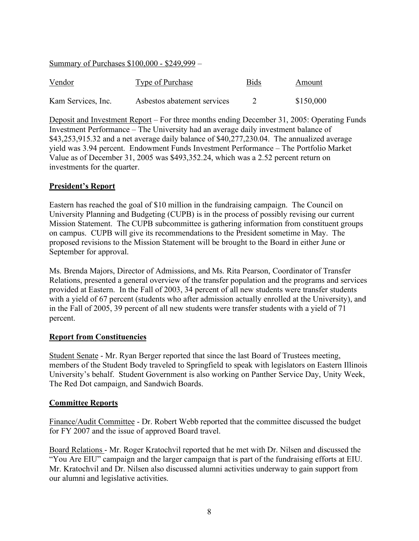Summary of Purchases \$100,000 - \$249,999 –

| <b>Vendor</b>      | Type of Purchase            | <b>Bids</b> | Amount    |
|--------------------|-----------------------------|-------------|-----------|
| Kam Services, Inc. | Asbestos abatement services |             | \$150,000 |

Deposit and Investment Report – For three months ending December 31, 2005: Operating Funds Investment Performance – The University had an average daily investment balance of \$43,253,915.32 and a net average daily balance of \$40,277,230.04. The annualized average yield was 3.94 percent. Endowment Funds Investment Performance – The Portfolio Market Value as of December 31, 2005 was \$493,352.24, which was a 2.52 percent return on investments for the quarter.

# **President's Report**

Eastern has reached the goal of \$10 million in the fundraising campaign. The Council on University Planning and Budgeting (CUPB) is in the process of possibly revising our current Mission Statement. The CUPB subcommittee is gathering information from constituent groups on campus. CUPB will give its recommendations to the President sometime in May. The proposed revisions to the Mission Statement will be brought to the Board in either June or September for approval.

Ms. Brenda Majors, Director of Admissions, and Ms. Rita Pearson, Coordinator of Transfer Relations, presented a general overview of the transfer population and the programs and services provided at Eastern. In the Fall of 2003, 34 percent of all new students were transfer students with a yield of 67 percent (students who after admission actually enrolled at the University), and in the Fall of 2005, 39 percent of all new students were transfer students with a yield of 71 percent.

### **Report from Constituencies**

Student Senate - Mr. Ryan Berger reported that since the last Board of Trustees meeting, members of the Student Body traveled to Springfield to speak with legislators on Eastern Illinois University's behalf. Student Government is also working on Panther Service Day, Unity Week, The Red Dot campaign, and Sandwich Boards.

### **Committee Reports**

Finance/Audit Committee - Dr. Robert Webb reported that the committee discussed the budget for FY 2007 and the issue of approved Board travel.

Board Relations - Mr. Roger Kratochvil reported that he met with Dr. Nilsen and discussed the "You Are EIU" campaign and the larger campaign that is part of the fundraising efforts at EIU. Mr. Kratochvil and Dr. Nilsen also discussed alumni activities underway to gain support from our alumni and legislative activities.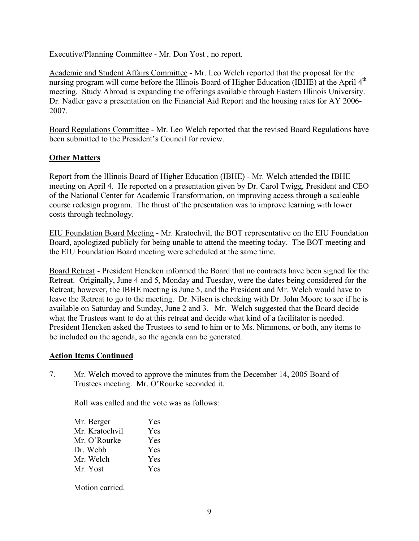Executive/Planning Committee - Mr. Don Yost , no report.

Academic and Student Affairs Committee - Mr. Leo Welch reported that the proposal for the nursing program will come before the Illinois Board of Higher Education (IBHE) at the April 4<sup>th</sup> meeting. Study Abroad is expanding the offerings available through Eastern Illinois University. Dr. Nadler gave a presentation on the Financial Aid Report and the housing rates for AY 2006- 2007.

Board Regulations Committee - Mr. Leo Welch reported that the revised Board Regulations have been submitted to the President's Council for review.

# **Other Matters**

Report from the Illinois Board of Higher Education (IBHE) - Mr. Welch attended the IBHE meeting on April 4. He reported on a presentation given by Dr. Carol Twigg, President and CEO of the National Center for Academic Transformation, on improving access through a scaleable course redesign program. The thrust of the presentation was to improve learning with lower costs through technology.

EIU Foundation Board Meeting - Mr. Kratochvil, the BOT representative on the EIU Foundation Board, apologized publicly for being unable to attend the meeting today. The BOT meeting and the EIU Foundation Board meeting were scheduled at the same time.

Board Retreat - President Hencken informed the Board that no contracts have been signed for the Retreat. Originally, June 4 and 5, Monday and Tuesday, were the dates being considered for the Retreat; however, the IBHE meeting is June 5, and the President and Mr. Welch would have to leave the Retreat to go to the meeting. Dr. Nilsen is checking with Dr. John Moore to see if he is available on Saturday and Sunday, June 2 and 3. Mr. Welch suggested that the Board decide what the Trustees want to do at this retreat and decide what kind of a facilitator is needed. President Hencken asked the Trustees to send to him or to Ms. Nimmons, or both, any items to be included on the agenda, so the agenda can be generated.

# **Action Items Continued**

7. Mr. Welch moved to approve the minutes from the December 14, 2005 Board of Trustees meeting. Mr. O'Rourke seconded it.

Roll was called and the vote was as follows:

| Mr. Berger     | <b>Yes</b> |
|----------------|------------|
| Mr. Kratochvil | <b>Yes</b> |
| Mr. O'Rourke   | Yes        |
| Dr. Webb       | <b>Yes</b> |
| Mr. Welch      | <b>Yes</b> |
| Mr. Yost       | <b>Yes</b> |

Motion carried.